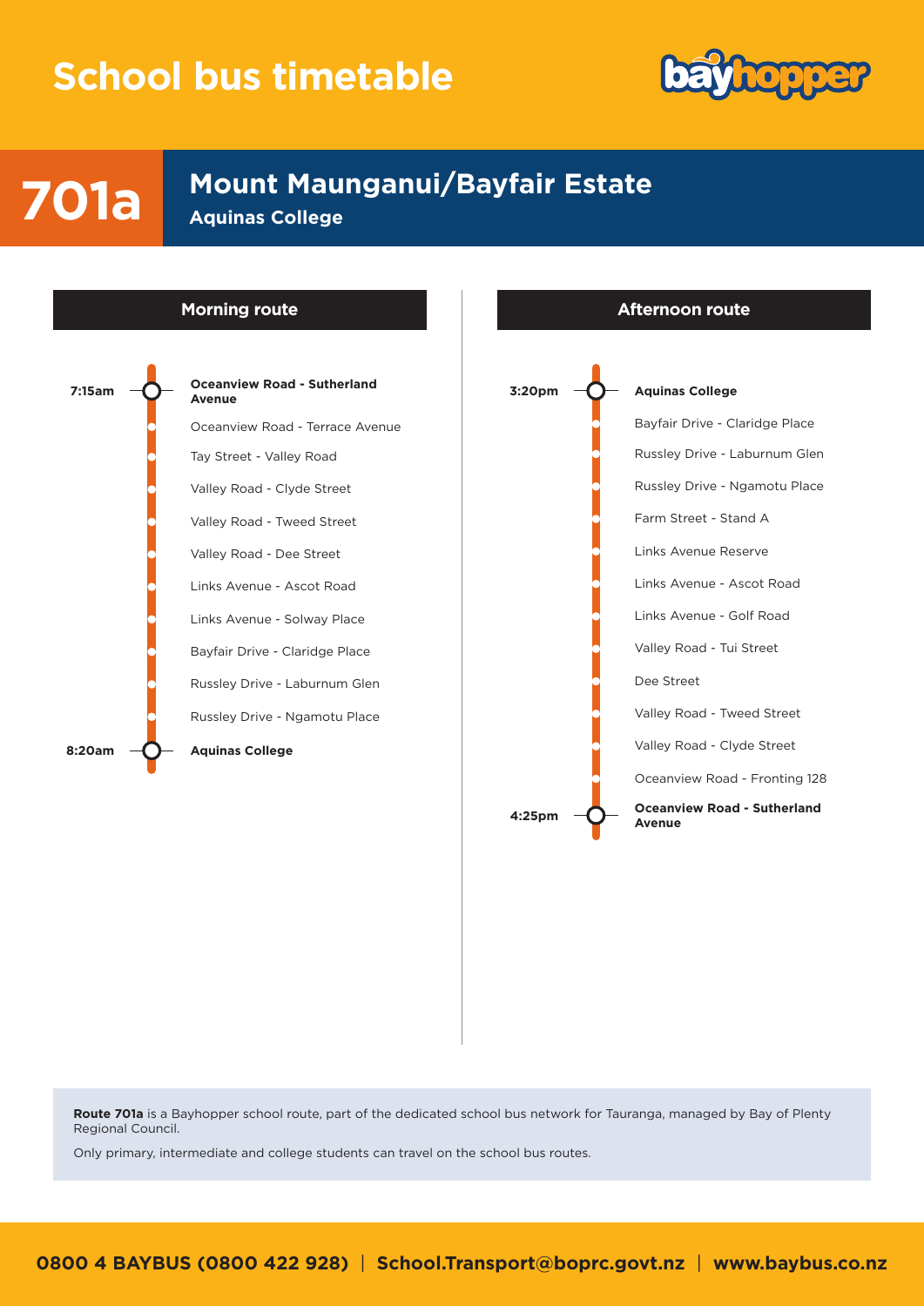### **School bus timetable**



# **701a** Mount Maunganui/Bayfair Estate





**Route 701a** is a Bayhopper school route, part of the dedicated school bus network for Tauranga, managed by Bay of Plenty Regional Council.

Only primary, intermediate and college students can travel on the school bus routes.